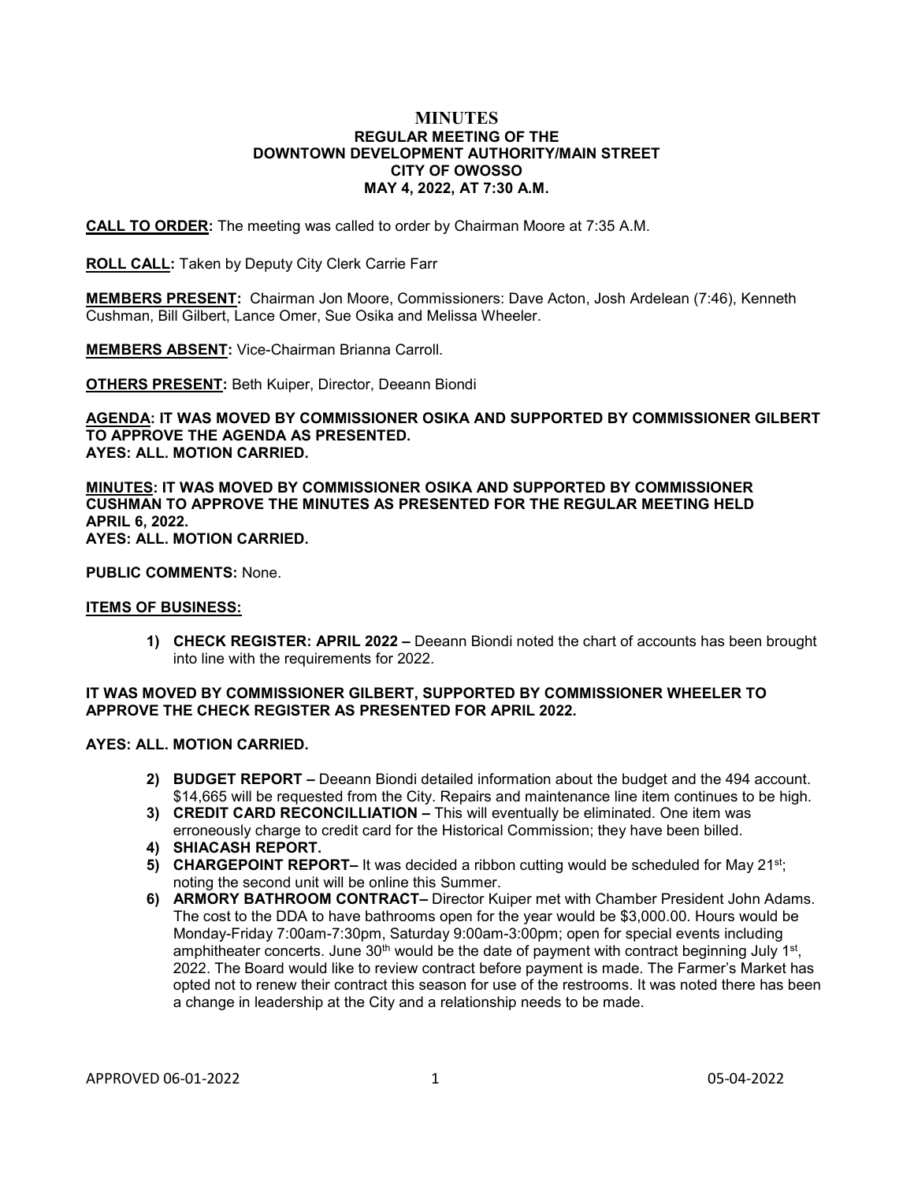### **MINUTES REGULAR MEETING OF THE DOWNTOWN DEVELOPMENT AUTHORITY/MAIN STREET CITY OF OWOSSO MAY 4, 2022, AT 7:30 A.M.**

**CALL TO ORDER:** The meeting was called to order by Chairman Moore at 7:35 A.M.

**ROLL CALL:** Taken by Deputy City Clerk Carrie Farr

**MEMBERS PRESENT:** Chairman Jon Moore, Commissioners: Dave Acton, Josh Ardelean (7:46), Kenneth Cushman, Bill Gilbert, Lance Omer, Sue Osika and Melissa Wheeler.

**MEMBERS ABSENT:** Vice-Chairman Brianna Carroll.

**OTHERS PRESENT:** Beth Kuiper, Director, Deeann Biondi

**AGENDA: IT WAS MOVED BY COMMISSIONER OSIKA AND SUPPORTED BY COMMISSIONER GILBERT TO APPROVE THE AGENDA AS PRESENTED. AYES: ALL. MOTION CARRIED.**

**MINUTES: IT WAS MOVED BY COMMISSIONER OSIKA AND SUPPORTED BY COMMISSIONER CUSHMAN TO APPROVE THE MINUTES AS PRESENTED FOR THE REGULAR MEETING HELD APRIL 6, 2022. AYES: ALL. MOTION CARRIED.**

**PUBLIC COMMENTS:** None.

#### **ITEMS OF BUSINESS:**

**1) CHECK REGISTER: APRIL 2022 –** Deeann Biondi noted the chart of accounts has been brought into line with the requirements for 2022.

## **IT WAS MOVED BY COMMISSIONER GILBERT, SUPPORTED BY COMMISSIONER WHEELER TO APPROVE THE CHECK REGISTER AS PRESENTED FOR APRIL 2022.**

#### **AYES: ALL. MOTION CARRIED.**

- **2) BUDGET REPORT –** Deeann Biondi detailed information about the budget and the 494 account. \$14,665 will be requested from the City. Repairs and maintenance line item continues to be high.
- **3) CREDIT CARD RECONCILLIATION –** This will eventually be eliminated. One item was erroneously charge to credit card for the Historical Commission; they have been billed.
- **4) SHIACASH REPORT.**
- **5) CHARGEPOINT REPORT–** It was decided a ribbon cutting would be scheduled for May 21<sup>st</sup>; noting the second unit will be online this Summer.
- **6) ARMORY BATHROOM CONTRACT–** Director Kuiper met with Chamber President John Adams. The cost to the DDA to have bathrooms open for the year would be \$3,000.00. Hours would be Monday-Friday 7:00am-7:30pm, Saturday 9:00am-3:00pm; open for special events including amphitheater concerts. June  $30<sup>th</sup>$  would be the date of payment with contract beginning July 1st, 2022. The Board would like to review contract before payment is made. The Farmer's Market has opted not to renew their contract this season for use of the restrooms. It was noted there has been a change in leadership at the City and a relationship needs to be made.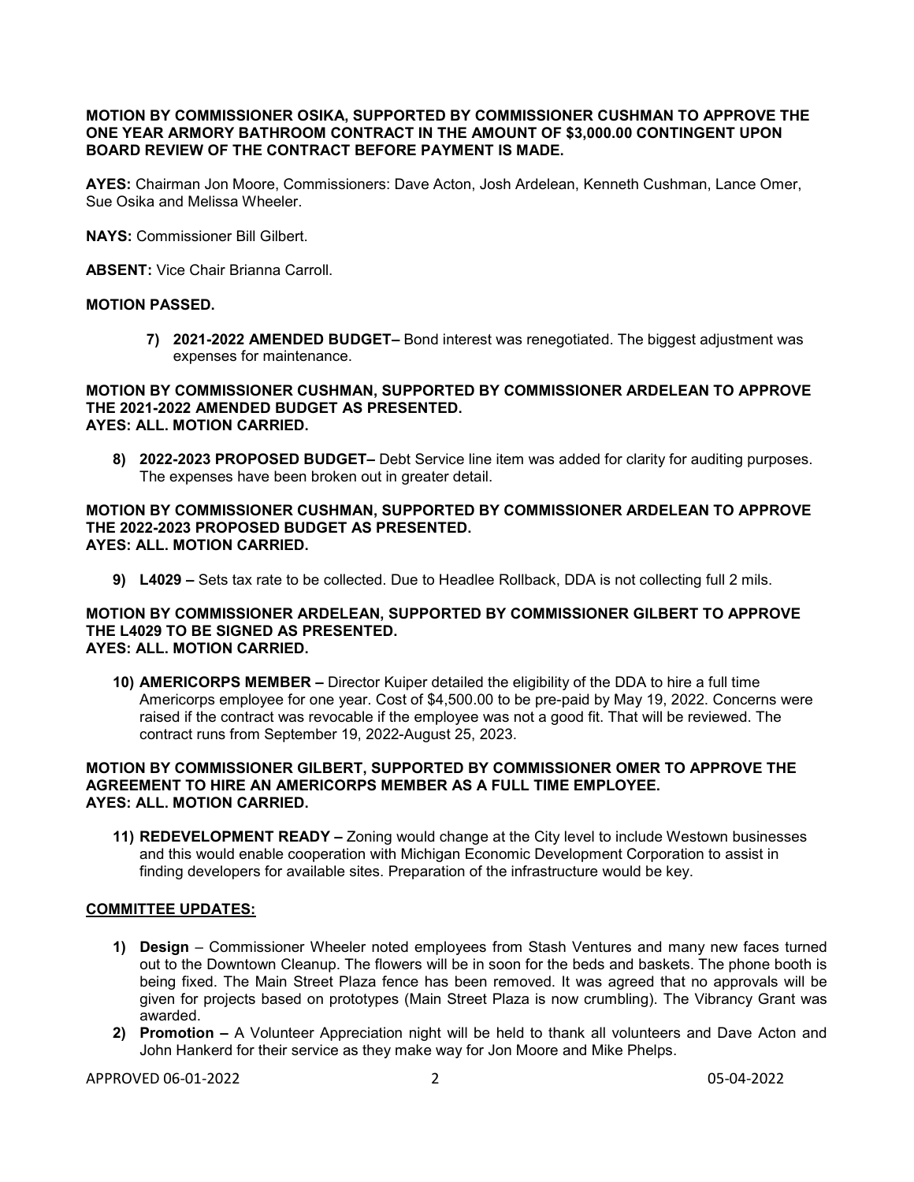# **MOTION BY COMMISSIONER OSIKA, SUPPORTED BY COMMISSIONER CUSHMAN TO APPROVE THE ONE YEAR ARMORY BATHROOM CONTRACT IN THE AMOUNT OF \$3,000.00 CONTINGENT UPON BOARD REVIEW OF THE CONTRACT BEFORE PAYMENT IS MADE.**

**AYES:** Chairman Jon Moore, Commissioners: Dave Acton, Josh Ardelean, Kenneth Cushman, Lance Omer, Sue Osika and Melissa Wheeler.

**NAYS:** Commissioner Bill Gilbert.

**ABSENT:** Vice Chair Brianna Carroll.

# **MOTION PASSED.**

**7) 2021-2022 AMENDED BUDGET–** Bond interest was renegotiated. The biggest adjustment was expenses for maintenance.

#### **MOTION BY COMMISSIONER CUSHMAN, SUPPORTED BY COMMISSIONER ARDELEAN TO APPROVE THE 2021-2022 AMENDED BUDGET AS PRESENTED. AYES: ALL. MOTION CARRIED.**

**8) 2022-2023 PROPOSED BUDGET–** Debt Service line item was added for clarity for auditing purposes. The expenses have been broken out in greater detail.

### **MOTION BY COMMISSIONER CUSHMAN, SUPPORTED BY COMMISSIONER ARDELEAN TO APPROVE THE 2022-2023 PROPOSED BUDGET AS PRESENTED. AYES: ALL. MOTION CARRIED.**

**9) L4029 –** Sets tax rate to be collected. Due to Headlee Rollback, DDA is not collecting full 2 mils.

### **MOTION BY COMMISSIONER ARDELEAN, SUPPORTED BY COMMISSIONER GILBERT TO APPROVE THE L4029 TO BE SIGNED AS PRESENTED. AYES: ALL. MOTION CARRIED.**

**10) AMERICORPS MEMBER –** Director Kuiper detailed the eligibility of the DDA to hire a full time Americorps employee for one year. Cost of \$4,500.00 to be pre-paid by May 19, 2022. Concerns were raised if the contract was revocable if the employee was not a good fit. That will be reviewed. The contract runs from September 19, 2022-August 25, 2023.

# **MOTION BY COMMISSIONER GILBERT, SUPPORTED BY COMMISSIONER OMER TO APPROVE THE AGREEMENT TO HIRE AN AMERICORPS MEMBER AS A FULL TIME EMPLOYEE. AYES: ALL. MOTION CARRIED.**

**11) REDEVELOPMENT READY –** Zoning would change at the City level to include Westown businesses and this would enable cooperation with Michigan Economic Development Corporation to assist in finding developers for available sites. Preparation of the infrastructure would be key.

## **COMMITTEE UPDATES:**

- **1) Design** Commissioner Wheeler noted employees from Stash Ventures and many new faces turned out to the Downtown Cleanup. The flowers will be in soon for the beds and baskets. The phone booth is being fixed. The Main Street Plaza fence has been removed. It was agreed that no approvals will be given for projects based on prototypes (Main Street Plaza is now crumbling). The Vibrancy Grant was awarded.
- **2) Promotion –** A Volunteer Appreciation night will be held to thank all volunteers and Dave Acton and John Hankerd for their service as they make way for Jon Moore and Mike Phelps.

APPROVED 06-01-2022 2 2 05-04-2022